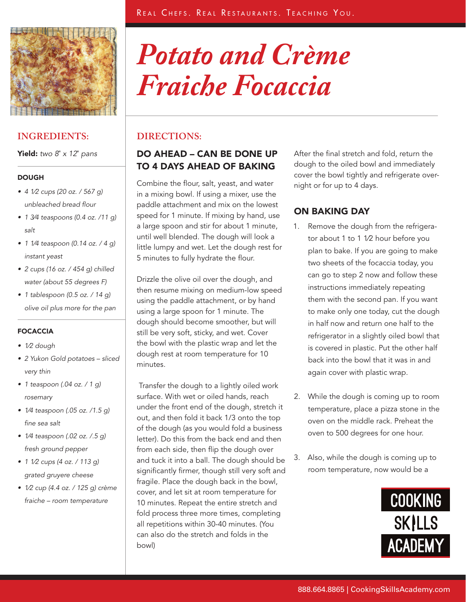

## **INGREDIENTS:**

Yield: *two 8*" *x 12*" *pans*

### **DOUGH**

- • *4 1⁄2 cups (20 oz. / 567 g) unbleached bread flour*
- • *1 3⁄4 teaspoons (0.4 oz. /11 g) salt*
- • *1 1⁄4 teaspoon (0.14 oz. / 4 g) instant yeast*
- • *2 cups (16 oz. / 454 g) chilled water (about 55 degrees F)*
- • *1 tablespoon (0.5 oz. / 14 g) olive oil plus more for the pan*

### FOCACCIA

- • *1⁄2 dough*
- • *2 Yukon Gold potatoes sliced very thin*
- • *1 teaspoon (.04 oz. / 1 g) rosemary*
- • *1⁄4 teaspoon (.05 oz. /1.5 g) fine sea salt*
- • *1⁄4 teaspoon (.02 oz. /.5 g) fresh ground pepper*
- • *1 1⁄2 cups (4 oz. / 113 g) grated gruyere cheese*
- • *1⁄2 cup (4.4 oz. / 125 g) crème fraiche – room temperature*

# *Potato and Crème Fraiche Focaccia*

# **DIRECTIONS:**

# DO AHEAD – CAN BE DONE UP TO 4 DAYS AHEAD OF BAKING

Combine the flour, salt, yeast, and water in a mixing bowl. If using a mixer, use the paddle attachment and mix on the lowest speed for 1 minute. If mixing by hand, use a large spoon and stir for about 1 minute, until well blended. The dough will look a little lumpy and wet. Let the dough rest for 5 minutes to fully hydrate the flour.

Drizzle the olive oil over the dough, and then resume mixing on medium-low speed using the paddle attachment, or by hand using a large spoon for 1 minute. The dough should become smoother, but will still be very soft, sticky, and wet. Cover the bowl with the plastic wrap and let the dough rest at room temperature for 10 minutes.

 Transfer the dough to a lightly oiled work surface. With wet or oiled hands, reach under the front end of the dough, stretch it out, and then fold it back 1/3 onto the top of the dough (as you would fold a business letter). Do this from the back end and then from each side, then flip the dough over and tuck it into a ball. The dough should be significantly firmer, though still very soft and fragile. Place the dough back in the bowl, cover, and let sit at room temperature for 10 minutes. Repeat the entire stretch and fold process three more times, completing all repetitions within 30-40 minutes. (You can also do the stretch and folds in the bowl)

After the final stretch and fold, return the dough to the oiled bowl and immediately cover the bowl tightly and refrigerate overnight or for up to 4 days.

# ON BAKING DAY

- 1. Remove the dough from the refrigerator about 1 to 1 1⁄2 hour before you plan to bake. If you are going to make two sheets of the focaccia today, you can go to step 2 now and follow these instructions immediately repeating them with the second pan. If you want to make only one today, cut the dough in half now and return one half to the refrigerator in a slightly oiled bowl that is covered in plastic. Put the other half back into the bowl that it was in and again cover with plastic wrap.
- 2. While the dough is coming up to room temperature, place a pizza stone in the oven on the middle rack. Preheat the oven to 500 degrees for one hour.
- 3. Also, while the dough is coming up to room temperature, now would be a

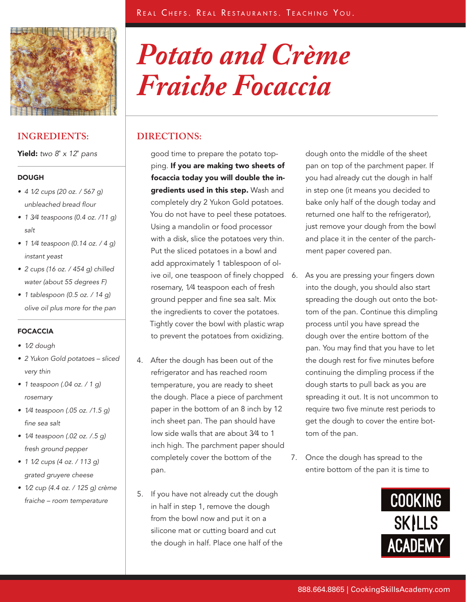

## **INGREDIENTS: DIRECTIONS:**

Yield: *two 8*" *x 12*" *pans*

#### **DOUGH**

- • *4 1⁄2 cups (20 oz. / 567 g) unbleached bread flour*
- • *1 3⁄4 teaspoons (0.4 oz. /11 g) salt*
- • *1 1⁄4 teaspoon (0.14 oz. / 4 g) instant yeast*
- • *2 cups (16 oz. / 454 g) chilled water (about 55 degrees F)*
- • *1 tablespoon (0.5 oz. / 14 g) olive oil plus more for the pan*

### FOCACCIA

- • *1⁄2 dough*
- • *2 Yukon Gold potatoes sliced very thin*
- • *1 teaspoon (.04 oz. / 1 g) rosemary*
- • *1⁄4 teaspoon (.05 oz. /1.5 g) fine sea salt*
- • *1⁄4 teaspoon (.02 oz. /.5 g) fresh ground pepper*
- • *1 1⁄2 cups (4 oz. / 113 g) grated gruyere cheese*
- • *1⁄2 cup (4.4 oz. / 125 g) crème fraiche – room temperature*

# *Potato and Crème Fraiche Focaccia*

good time to prepare the potato topping. If you are making two sheets of focaccia today you will double the ingredients used in this step. Wash and completely dry 2 Yukon Gold potatoes. You do not have to peel these potatoes. Using a mandolin or food processor with a disk, slice the potatoes very thin. Put the sliced potatoes in a bowl and add approximately 1 tablespoon of olive oil, one teaspoon of finely chopped 6. rosemary, 1⁄4 teaspoon each of fresh ground pepper and fine sea salt. Mix the ingredients to cover the potatoes. Tightly cover the bowl with plastic wrap to prevent the potatoes from oxidizing.

- 4. After the dough has been out of the refrigerator and has reached room temperature, you are ready to sheet the dough. Place a piece of parchment paper in the bottom of an 8 inch by 12 inch sheet pan. The pan should have low side walls that are about 3⁄4 to 1 inch high. The parchment paper should completely cover the bottom of the pan.
- 5. If you have not already cut the dough in half in step 1, remove the dough from the bowl now and put it on a silicone mat or cutting board and cut the dough in half. Place one half of the

dough onto the middle of the sheet pan on top of the parchment paper. If you had already cut the dough in half in step one (it means you decided to bake only half of the dough today and returned one half to the refrigerator), just remove your dough from the bowl and place it in the center of the parchment paper covered pan.

- As you are pressing your fingers down into the dough, you should also start spreading the dough out onto the bottom of the pan. Continue this dimpling process until you have spread the dough over the entire bottom of the pan. You may find that you have to let the dough rest for five minutes before continuing the dimpling process if the dough starts to pull back as you are spreading it out. It is not uncommon to require two five minute rest periods to get the dough to cover the entire bottom of the pan.
- 7. Once the dough has spread to the entire bottom of the pan it is time to